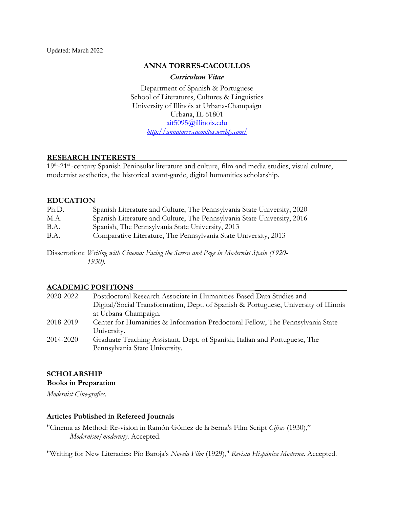### **ANNA TORRES-CACOULLOS**

*Curriculum Vitae*

Department of Spanish & Portuguese School of Literatures, Cultures & Linguistics University of Illinois at Urbana-Champaign Urbana, IL 61801 ait5095@illinois.edu *http://annatorrescacoullos.weebly.com/*

## **RESEARCH INTERESTS \_\_\_\_\_\_\_\_\_\_\_\_\_\_\_\_\_\_**

19th-21st -century Spanish Peninsular literature and culture, film and media studies, visual culture, modernist aesthetics, the historical avant-garde, digital humanities scholarship.

#### **EDUCATION**

| Ph.D.       | Spanish Literature and Culture, The Pennsylvania State University, 2020                           |
|-------------|---------------------------------------------------------------------------------------------------|
| M.A.        | Spanish Literature and Culture, The Pennsylvania State University, 2016                           |
| B.A.        | Spanish, The Pennsylvania State University, 2013                                                  |
| <b>B.A.</b> | Comparative Literature, The Pennsylvania State University, 2013                                   |
|             | Dissertation: Writing with Cinema: Facing the Screen and Page in Modernist Spain (1920-<br>1930). |

## **ACADEMIC POSITIONS \_\_\_\_\_\_\_\_\_\_\_\_\_\_\_\_\_\_\_\_\_\_\_\_**

| 2020-2022 | Postdoctoral Research Associate in Humanities-Based Data Studies and                 |
|-----------|--------------------------------------------------------------------------------------|
|           | Digital/Social Transformation, Dept. of Spanish & Portuguese, University of Illinois |
|           | at Urbana-Champaign.                                                                 |
| 2018-2019 | Center for Humanities & Information Predoctoral Fellow, The Pennsylvania State       |
|           | University.                                                                          |
| 2014-2020 | Graduate Teaching Assistant, Dept. of Spanish, Italian and Portuguese, The           |
|           | Pennsylvania State University.                                                       |

## **SCHOLARSHIP**

**Books in Preparation** 

*Modernist Cine-grafies*.

### **Articles Published in Refereed Journals**

"Cinema as Method: Re-vision in Ramón Gómez de la Serna's Film Script *Cifras* (1930)," *Modernism/modernity*. Accepted.

"Writing for New Literacies: Pío Baroja's *Novela Film* (1929)," *Revista Hispánica Moderna*. Accepted.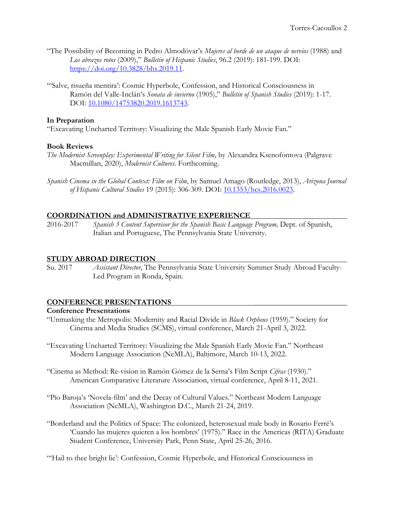- "The Possibility of Becoming in Pedro Almodóvar's *Mujeres al borde de un ataque de nervios* (1988) and *Los abrazos rotos* (2009)," *Bulletin of Hispanic Studies*, 96.2 (2019): 181-199. DOI: https://doi.org/10.3828/bhs.2019.11.
- "'Salve, risueña mentira': Cosmic Hyperbole, Confession, and Historical Consciousness in Ramón del Valle-Inclán's *Sonata de invierno* (1905)," *Bulletin of Spanish Studies* (2019): 1-17. DOI: 10.1080/14753820.2019.1613743.

## **In Preparation**

"Excavating Uncharted Territory: Visualizing the Male Spanish Early Movie Fan."

## **Book Reviews**

- *The Modernist Screenplay: Experimental Writing for Silent Film*, by Alexandra Ksenofontova (Palgrave Macmillan, 2020), *Modernist Cultures*. Forthcoming.
- *Spanish Cinema in the Global Context: Film on Film*, by Samuel Amago (Routledge, 2013), *Arizona Journal of Hispanic Cultural Studies* 19 (2015): 306-309. DOI: 10.1353/hcs.2016.0023.

## **COORDINATION and ADMINISTRATIVE EXPERIENCE**

2016-2017 *Spanish 3 Content Supervisor for the Spanish Basic Language Program,* Dept. of Spanish, Italian and Portuguese, The Pennsylvania State University.

### **STUDY ABROAD DIRECTION**

Su. 2017 *Assistant Director*, The Pennsylvania State University Summer Study Abroad Faculty-Led Program in Ronda, Spain.

### **CONFERENCE PRESENTATIONS \_\_\_\_\_\_\_\_\_\_\_\_\_\_\_\_\_\_\_\_\_\_\_\_**

### **Conference Presentations**

- "Unmasking the Metropolis: Modernity and Racial Divide in *Black Orpheus* (1959)." Society for Cinema and Media Studies (SCMS), virtual conference, March 21-April 3, 2022.
- "Excavating Uncharted Territory: Visualizing the Male Spanish Early Movie Fan." Northeast Modern Language Association (NeMLA), Baltimore, March 10-13, 2022.
- "Cinema as Method: Re-vision in Ramón Gómez de la Serna's Film Script *Cifras* (1930)." American Comparative Literature Association, virtual conference, April 8-11, 2021.
- "Pío Baroja's 'Novela-film' and the Decay of Cultural Values." Northeast Modern Language Association (NeMLA), Washington D.C., March 21-24, 2019.
- "Borderland and the Politics of Space: The colonized, heterosexual male body in Rosario Ferré's 'Cuando las mujeres quieren a los hombres' (1975)." Race in the Americas (RITA) Graduate Student Conference, University Park, Penn State, April 25-26, 2016.

"Hail to thee bright lie': Confession, Cosmic Hyperbole, and Historical Consciousness in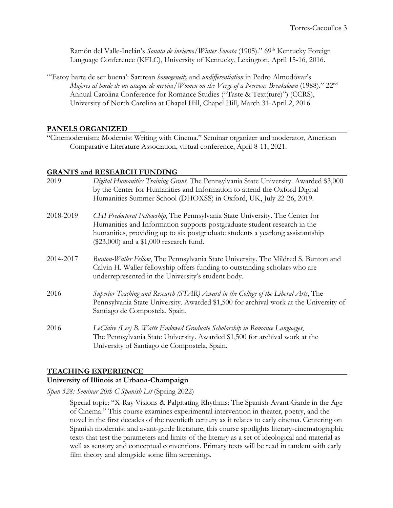Ramón del Valle-Inclán's *Sonata de invierno*/*Winter Sonata* (1905)." 69<sup>th</sup> Kentucky Foreign Language Conference (KFLC), University of Kentucky, Lexington, April 15-16, 2016.

"'Estoy harta de ser buena': Sartrean *homogeneity* and *undifferentiation* in Pedro Almodóvar's *Mujeres al borde de un ataque de nervios*/*Women on the Verge of a Nervous Breakdown* (1988)." 22nd Annual Carolina Conference for Romance Studies ("Taste & Text(ture)") (CCRS), University of North Carolina at Chapel Hill, Chapel Hill, March 31-April 2, 2016.

## **PANELS ORGANIZED \_**

"Cinemodernism: Modernist Writing with Cinema." Seminar organizer and moderator, American Comparative Literature Association, virtual conference, April 8-11, 2021.

#### **GRANTS and RESEARCH FUNDING**

| 2019      | Digital Humanities Training Grant, The Pennsylvania State University. Awarded \$3,000<br>by the Center for Humanities and Information to attend the Oxford Digital<br>Humanities Summer School (DHOXSS) in Oxford, UK, July 22-26, 2019.                                               |
|-----------|----------------------------------------------------------------------------------------------------------------------------------------------------------------------------------------------------------------------------------------------------------------------------------------|
| 2018-2019 | CHI Predoctoral Fellowship, The Pennsylvania State University. The Center for<br>Humanities and Information supports postgraduate student research in the<br>humanities, providing up to six postgraduate students a yearlong assistantship<br>(\$23,000) and a \$1,000 research fund. |
| 2014-2017 | Bunton-Waller Fellow, The Pennsylvania State University. The Mildred S. Bunton and<br>Calvin H. Waller fellowship offers funding to outstanding scholars who are<br>underrepresented in the University's student body.                                                                 |
| 2016      | Superior Teaching and Research (STAR) Award in the College of the Liberal Arts, The<br>Pennsylvania State University. Awarded \$1,500 for archival work at the University of<br>Santiago de Compostela, Spain.                                                                         |
| 2016      | LeClaire (Lee) B. Watts Endowed Graduate Scholarship in Romance Languages,<br>The Pennsylvania State University. Awarded \$1,500 for archival work at the<br>University of Santiago de Compostela, Spain.                                                                              |

### **TEACHING EXPERIENCE**

## **University of Illinois at Urbana-Champaign**

*Span 528: Seminar 20th C Spanish Lit* (Spring 2022)

Special topic: "X-Ray Visions & Palpitating Rhythms: The Spanish-Avant-Garde in the Age of Cinema." This course examines experimental intervention in theater, poetry, and the novel in the first decades of the twentieth century as it relates to early cinema. Centering on Spanish modernist and avant-garde literature, this course spotlights literary-cinematographic texts that test the parameters and limits of the literary as a set of ideological and material as well as sensory and conceptual conventions. Primary texts will be read in tandem with early film theory and alongside some film screenings.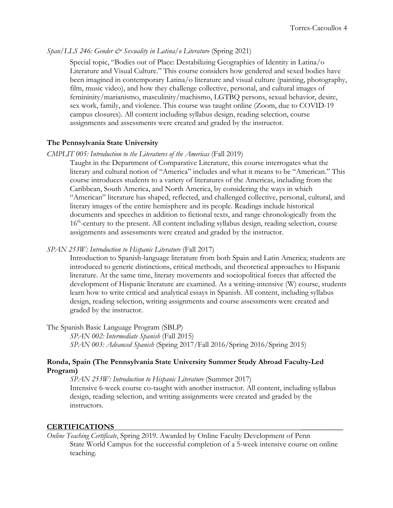## *Span/LLS 246: Gender & Sexuality in Latina/o Literature (Spring 2021)*

Special topic, "Bodies out of Place: Destabilizing Geographies of Identity in Latina/o Literature and Visual Culture." This course considers how gendered and sexed bodies have been imagined in contemporary Latina/o literature and visual culture (painting, photography, film, music video), and how they challenge collective, personal, and cultural images of femininity/marianismo, masculinity/machismo, LGTBQ persons, sexual behavior, desire, sex work, family, and violence. This course was taught online (Zoom, due to COVID-19 campus closures). All content including syllabus design, reading selection, course assignments and assessments were created and graded by the instructor.

## **The Pennsylvania State University**

#### *CMPLIT 005: Introduction to the Literatures of the Americas* (Fall 2019)

Taught in the Department of Comparative Literature, this course interrogates what the literary and cultural notion of "America" includes and what it means to be "American." This course introduces students to a variety of literatures of the Americas, including from the Caribbean, South America, and North America, by considering the ways in which "American" literature has shaped, reflected, and challenged collective, personal, cultural, and literary images of the entire hemisphere and its people. Readings include historical documents and speeches in addition to fictional texts, and range chronologically from the  $16<sup>th</sup>$ -century to the present. All content including syllabus design, reading selection, course assignments and assessments were created and graded by the instructor.

### *SPAN 253W: Introduction to Hispanic Literature* (Fall 2017)

Introduction to Spanish-language literature from both Spain and Latin America; students are introduced to generic distinctions, critical methods, and theoretical approaches to Hispanic literature. At the same time, literary movements and sociopolitical forces that affected the development of Hispanic literature are examined. As a writing-intensive (W) course, students learn how to write critical and analytical essays in Spanish. All content, including syllabus design, reading selection, writing assignments and course assessments were created and graded by the instructor.

The Spanish Basic Language Program (SBLP)

*SPAN 002: Intermediate Spanish* (Fall 2015) *SPAN 003: Advanced Spanish* (Spring 2017/Fall 2016/Spring 2016/Spring 2015)

## **Ronda, Spain (The Pennsylvania State University Summer Study Abroad Faculty-Led Program)**

*SPAN 253W: Introduction to Hispanic Literature* (Summer 2017) Intensive 6-week course co-taught with another instructor. All content, including syllabus design, reading selection, and writing assignments were created and graded by the instructors.

### **CERTIFICATIONS \_\_\_\_\_\_\_\_\_\_\_**

*Online Teaching Certificate*, Spring 2019. Awarded by Online Faculty Development of Penn State World Campus for the successful completion of a 5-week intensive course on online teaching.